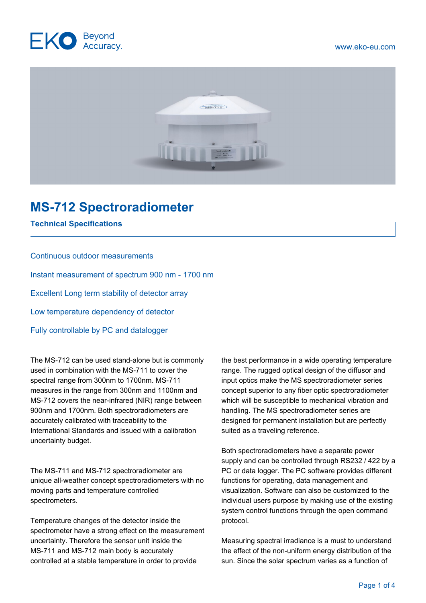



## **MS-712 Spectroradiometer**

**Technical Specifications**

## Continuous outdoor measurements

Instant measurement of spectrum 900 nm - 1700 nm

Excellent Long term stability of detector array

Low temperature dependency of detector

Fully controllable by PC and datalogger

The MS-712 can be used stand-alone but is commonly used in combination with the MS-711 to cover the spectral range from 300nm to 1700nm. MS-711 measures in the range from 300nm and 1100nm and MS-712 covers the near-infrared (NIR) range between 900nm and 1700nm. Both spectroradiometers are accurately calibrated with traceability to the International Standards and issued with a calibration uncertainty budget.

The MS-711 and MS-712 spectroradiometer are unique all-weather concept spectroradiometers with no moving parts and temperature controlled spectrometers.

Temperature changes of the detector inside the spectrometer have a strong effect on the measurement uncertainty. Therefore the sensor unit inside the MS-711 and MS-712 main body is accurately controlled at a stable temperature in order to provide

the best performance in a wide operating temperature range. The rugged optical design of the diffusor and input optics make the MS spectroradiometer series concept superior to any fiber optic spectroradiometer which will be susceptible to mechanical vibration and handling. The MS spectroradiometer series are designed for permanent installation but are perfectly suited as a traveling reference.

Both spectroradiometers have a separate power supply and can be controlled through RS232 / 422 by a PC or data logger. The PC software provides different functions for operating, data management and visualization. Software can also be customized to the individual users purpose by making use of the existing system control functions through the open command protocol.

Measuring spectral irradiance is a must to understand the effect of the non-uniform energy distribution of the sun. Since the solar spectrum varies as a function of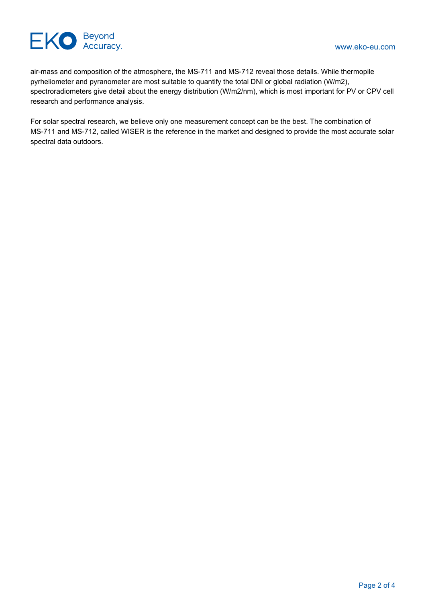

air-mass and composition of the atmosphere, the MS-711 and MS-712 reveal those details. While thermopile pyrheliometer and pyranometer are most suitable to quantify the total DNI or global radiation (W/m2), spectroradiometers give detail about the energy distribution (W/m2/nm), which is most important for PV or CPV cell research and performance analysis.

For solar spectral research, we believe only one measurement concept can be the best. The combination of MS-711 and MS-712, called WISER is the reference in the market and designed to provide the most accurate solar spectral data outdoors.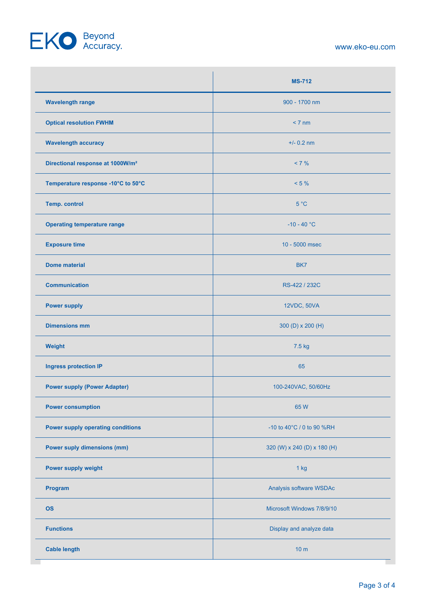## EKO Beyond

www.eko-eu.com

|                                              | <b>MS-712</b>               |
|----------------------------------------------|-----------------------------|
| <b>Wavelength range</b>                      | 900 - 1700 nm               |
| <b>Optical resolution FWHM</b>               | < 7 nm                      |
| <b>Wavelength accuracy</b>                   | $+/- 0.2$ nm                |
| Directional response at 1000W/m <sup>2</sup> | $< 7 \%$                    |
| Temperature response -10°C to 50°C           | $< 5 \%$                    |
| <b>Temp. control</b>                         | 5 °C                        |
| <b>Operating temperature range</b>           | $-10 - 40 °C$               |
| <b>Exposure time</b>                         | 10 - 5000 msec              |
| <b>Dome material</b>                         | BK7                         |
| <b>Communication</b>                         | RS-422 / 232C               |
| <b>Power supply</b>                          | 12VDC, 50VA                 |
| <b>Dimensions mm</b>                         | 300 (D) x 200 (H)           |
| Weight                                       | 7.5 kg                      |
| <b>Ingress protection IP</b>                 | 65                          |
| <b>Power supply (Power Adapter)</b>          | 100-240VAC, 50/60Hz         |
| <b>Power consumption</b>                     | 65 W                        |
| <b>Power supply operating conditions</b>     | -10 to 40°C / 0 to 90 %RH   |
| <b>Power suply dimensions (mm)</b>           | 320 (W) x 240 (D) x 180 (H) |
| Power supply weight                          | $1$ kg                      |
| Program                                      | Analysis software WSDAc     |
| <b>OS</b>                                    | Microsoft Windows 7/8/9/10  |
| <b>Functions</b>                             | Display and analyze data    |
| <b>Cable length</b>                          | 10 <sub>m</sub>             |